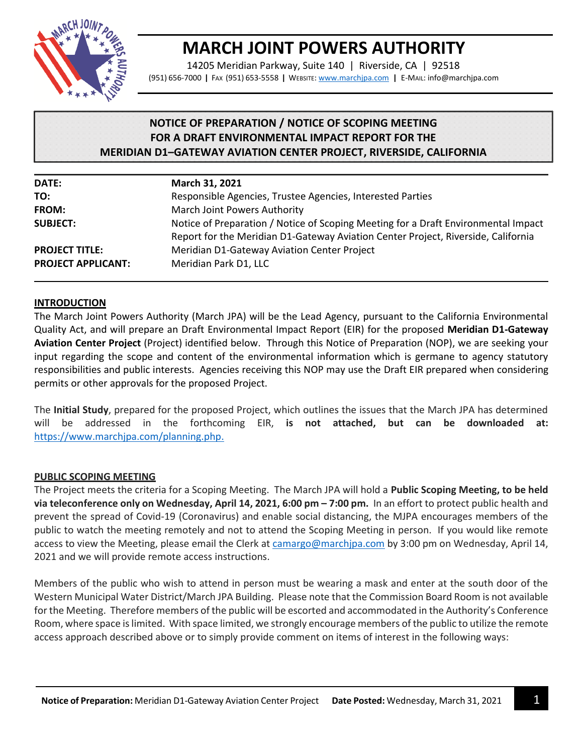

# **MARCH JOINT POWERS AUTHORITY**

14205 Meridian Parkway, Suite 140 | Riverside, CA | 92518 (951) 656-7000 **|** FAX (951) 653-5558 **|** WEBSITE: [www.marchjpa.com](http://www.marchjpa.com/) **|** E-MAIL: info@marchjpa.com

# **NOTICE OF PREPARATION / NOTICE OF SCOPING MEETING FOR A DRAFT ENVIRONMENTAL IMPACT REPORT FOR THE MERIDIAN D1–GATEWAY AVIATION CENTER PROJECT, RIVERSIDE, CALIFORNIA**

| DATE:                     | March 31, 2021                                                                                                                                                          |
|---------------------------|-------------------------------------------------------------------------------------------------------------------------------------------------------------------------|
| TO:                       | Responsible Agencies, Trustee Agencies, Interested Parties                                                                                                              |
| FROM:                     | March Joint Powers Authority                                                                                                                                            |
| <b>SUBJECT:</b>           | Notice of Preparation / Notice of Scoping Meeting for a Draft Environmental Impact<br>Report for the Meridian D1-Gateway Aviation Center Project, Riverside, California |
| <b>PROJECT TITLE:</b>     | Meridian D1-Gateway Aviation Center Project                                                                                                                             |
| <b>PROJECT APPLICANT:</b> | Meridian Park D1, LLC                                                                                                                                                   |

#### **INTRODUCTION**

The March Joint Powers Authority (March JPA) will be the Lead Agency, pursuant to the California Environmental Quality Act, and will prepare an Draft Environmental Impact Report (EIR) for the proposed **Meridian D1-Gateway Aviation Center Project** (Project) identified below. Through this Notice of Preparation (NOP), we are seeking your input regarding the scope and content of the environmental information which is germane to agency statutory responsibilities and public interests. Agencies receiving this NOP may use the Draft EIR prepared when considering permits or other approvals for the proposed Project.

The **Initial Study**, prepared for the proposed Project, which outlines the issues that the March JPA has determined will be addressed in the forthcoming EIR, **is not attached, but can be downloaded at:** [https://www.marchjpa.com/planning.php.](https://www.marchjpa.com/planning.php)

# **PUBLIC SCOPING MEETING**

The Project meets the criteria for a Scoping Meeting. The March JPA will hold a **Public Scoping Meeting, to be held via teleconference only on Wednesday, April 14, 2021, 6:00 pm – 7:00 pm. In an effort to protect public health and** prevent the spread of Covid-19 (Coronavirus) and enable social distancing, the MJPA encourages members of the public to watch the meeting remotely and not to attend the Scoping Meeting in person. If you would like remote access to view the Meeting, please email the Clerk at [camargo@marchjpa.com](mailto:camargo@marchjpa.com) by 3:00 pm on Wednesday, April 14, 2021 and we will provide remote access instructions.

Members of the public who wish to attend in person must be wearing a mask and enter at the south door of the Western Municipal Water District/March JPA Building. Please note that the Commission Board Room is not available for the Meeting. Therefore members of the public will be escorted and accommodated in the Authority's Conference Room, where space is limited. With space limited, we strongly encourage members of the public to utilize the remote access approach described above or to simply provide comment on items of interest in the following ways: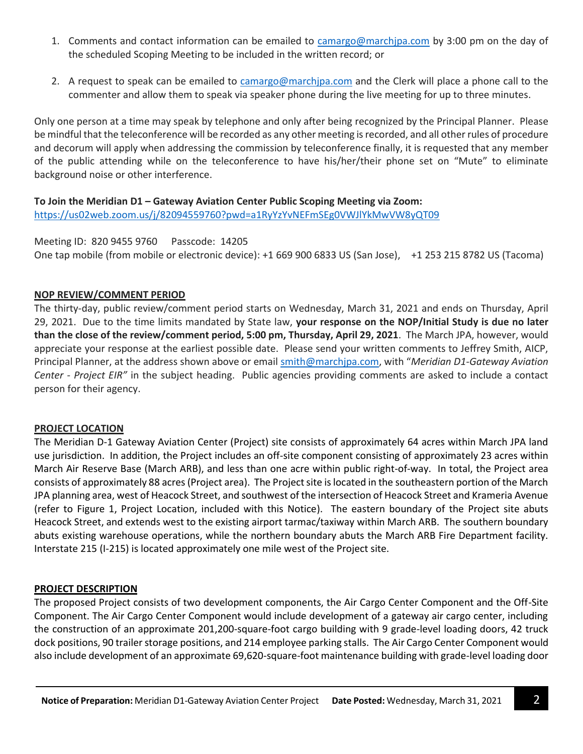- 1. Comments and contact information can be emailed to [camargo@marchjpa.com](mailto:camargo@marchjpa.com) by 3:00 pm on the day of the scheduled Scoping Meeting to be included in the written record; or
- 2. A request to speak can be emailed to [camargo@marchjpa.com](mailto:camargo@marchjpa.com) and the Clerk will place a phone call to the commenter and allow them to speak via speaker phone during the live meeting for up to three minutes.

Only one person at a time may speak by telephone and only after being recognized by the Principal Planner. Please be mindful that the teleconference will be recorded as any other meeting is recorded, and all other rules of procedure and decorum will apply when addressing the commission by teleconference finally, it is requested that any member of the public attending while on the teleconference to have his/her/their phone set on "Mute" to eliminate background noise or other interference.

#### **To Join the Meridian D1 – Gateway Aviation Center Public Scoping Meeting via Zoom:** <https://us02web.zoom.us/j/82094559760?pwd=a1RyYzYvNEFmSEg0VWJlYkMwVW8yQT09>

Meeting ID: 820 9455 9760 Passcode: 14205 One tap mobile (from mobile or electronic device): +1 669 900 6833 US (San Jose), +1 253 215 8782 US (Tacoma)

# **NOP REVIEW/COMMENT PERIOD**

The thirty-day, public review/comment period starts on Wednesday, March 31, 2021 and ends on Thursday, April 29, 2021. Due to the time limits mandated by State law, **your response on the NOP/Initial Study is due no later than the close of the review/comment period, 5:00 pm, Thursday, April 29, 2021**. The March JPA, however, would appreciate your response at the earliest possible date. Please send your written comments to Jeffrey Smith, AICP, Principal Planner, at the address shown above or emai[l smith@marchjpa.com](mailto:smith@marchjpa.com), with "*Meridian D1-Gateway Aviation Center - Project EIR"* in the subject heading. Public agencies providing comments are asked to include a contact person for their agency.

#### **PROJECT LOCATION**

The Meridian D-1 Gateway Aviation Center (Project) site consists of approximately 64 acres within March JPA land use jurisdiction. In addition, the Project includes an off-site component consisting of approximately 23 acres within March Air Reserve Base (March ARB), and less than one acre within public right-of-way. In total, the Project area consists of approximately 88 acres (Project area). The Project site is located in the southeastern portion of the March JPA planning area, west of Heacock Street, and southwest of the intersection of Heacock Street and Krameria Avenue (refer to Figure 1, Project Location, included with this Notice). The eastern boundary of the Project site abuts Heacock Street, and extends west to the existing airport tarmac/taxiway within March ARB. The southern boundary abuts existing warehouse operations, while the northern boundary abuts the March ARB Fire Department facility. Interstate 215 (I-215) is located approximately one mile west of the Project site.

#### **PROJECT DESCRIPTION**

The proposed Project consists of two development components, the Air Cargo Center Component and the Off-Site Component. The Air Cargo Center Component would include development of a gateway air cargo center, including the construction of an approximate 201,200-square-foot cargo building with 9 grade-level loading doors, 42 truck dock positions, 90 trailer storage positions, and 214 employee parking stalls. The Air Cargo Center Component would also include development of an approximate 69,620-square-foot maintenance building with grade-level loading door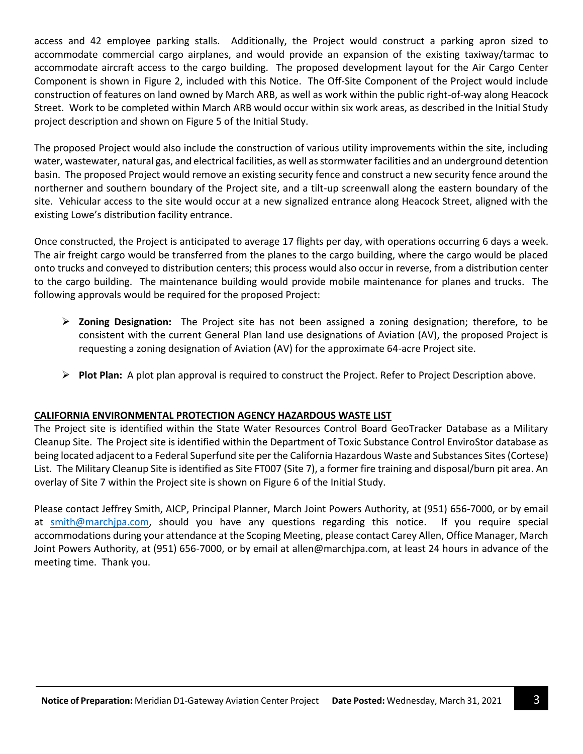access and 42 employee parking stalls. Additionally, the Project would construct a parking apron sized to accommodate commercial cargo airplanes, and would provide an expansion of the existing taxiway/tarmac to accommodate aircraft access to the cargo building. The proposed development layout for the Air Cargo Center Component is shown in Figure 2, included with this Notice. The Off-Site Component of the Project would include construction of features on land owned by March ARB, as well as work within the public right-of-way along Heacock Street. Work to be completed within March ARB would occur within six work areas, as described in the Initial Study project description and shown on Figure 5 of the Initial Study.

The proposed Project would also include the construction of various utility improvements within the site, including water, wastewater, natural gas, and electrical facilities, as well as stormwater facilities and an underground detention basin. The proposed Project would remove an existing security fence and construct a new security fence around the northerner and southern boundary of the Project site, and a tilt-up screenwall along the eastern boundary of the site. Vehicular access to the site would occur at a new signalized entrance along Heacock Street, aligned with the existing Lowe's distribution facility entrance.

Once constructed, the Project is anticipated to average 17 flights per day, with operations occurring 6 days a week. The air freight cargo would be transferred from the planes to the cargo building, where the cargo would be placed onto trucks and conveyed to distribution centers; this process would also occur in reverse, from a distribution center to the cargo building. The maintenance building would provide mobile maintenance for planes and trucks. The following approvals would be required for the proposed Project:

- **Zoning Designation:** The Project site has not been assigned a zoning designation; therefore, to be consistent with the current General Plan land use designations of Aviation (AV), the proposed Project is requesting a zoning designation of Aviation (AV) for the approximate 64-acre Project site.
- **Plot Plan:** A plot plan approval is required to construct the Project. Refer to Project Description above.

# **CALIFORNIA ENVIRONMENTAL PROTECTION AGENCY HAZARDOUS WASTE LIST**

The Project site is identified within the State Water Resources Control Board GeoTracker Database as a Military Cleanup Site. The Project site is identified within the Department of Toxic Substance Control EnviroStor database as being located adjacent to a Federal Superfund site per the California Hazardous Waste and Substances Sites (Cortese) List. The Military Cleanup Site is identified as Site FT007 (Site 7), a former fire training and disposal/burn pit area. An overlay of Site 7 within the Project site is shown on Figure 6 of the Initial Study.

Please contact Jeffrey Smith, AICP, Principal Planner, March Joint Powers Authority, at (951) 656-7000, or by email at [smith@marchjpa.com,](mailto:smith@marchjpa.com) should you have any questions regarding this notice. If you require special accommodations during your attendance at the Scoping Meeting, please contact Carey Allen, Office Manager, March Joint Powers Authority, at (951) 656-7000, or by email at [allen@marchjpa.com,](mailto:allen@marchjpa.com) at least 24 hours in advance of the meeting time. Thank you.